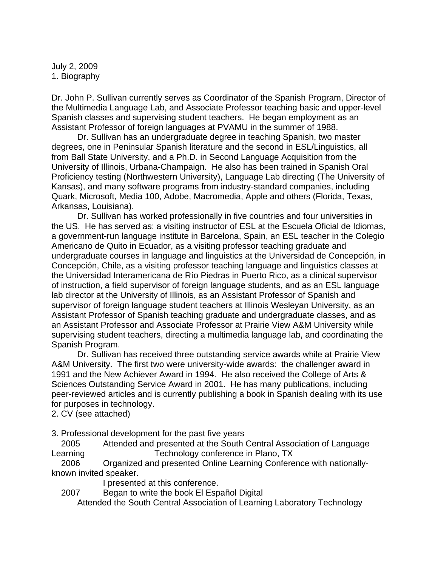July 2, 2009 1. Biography

Dr. John P. Sullivan currently serves as Coordinator of the Spanish Program, Director of the Multimedia Language Lab, and Associate Professor teaching basic and upper-level Spanish classes and supervising student teachers. He began employment as an Assistant Professor of foreign languages at PVAMU in the summer of 1988.

 Dr. Sullivan has an undergraduate degree in teaching Spanish, two master degrees, one in Peninsular Spanish literature and the second in ESL/Linguistics, all from Ball State University, and a Ph.D. in Second Language Acquisition from the University of Illinois, Urbana-Champaign. He also has been trained in Spanish Oral Proficiency testing (Northwestern University), Language Lab directing (The University of Kansas), and many software programs from industry-standard companies, including Quark, Microsoft, Media 100, Adobe, Macromedia, Apple and others (Florida, Texas, Arkansas, Louisiana).

 Dr. Sullivan has worked professionally in five countries and four universities in the US. He has served as: a visiting instructor of ESL at the Escuela Oficial de Idiomas, a government-run language institute in Barcelona, Spain, an ESL teacher in the Colegio Americano de Quito in Ecuador, as a visiting professor teaching graduate and undergraduate courses in language and linguistics at the Universidad de Concepción, in Concepción, Chile, as a visiting professor teaching language and linguistics classes at the Universidad Interamericana de Río Piedras in Puerto Rico, as a clinical supervisor of instruction, a field supervisor of foreign language students, and as an ESL language lab director at the University of Illinois, as an Assistant Professor of Spanish and supervisor of foreign language student teachers at Illinois Wesleyan University, as an Assistant Professor of Spanish teaching graduate and undergraduate classes, and as an Assistant Professor and Associate Professor at Prairie View A&M University while supervising student teachers, directing a multimedia language lab, and coordinating the Spanish Program.

 Dr. Sullivan has received three outstanding service awards while at Prairie View A&M University. The first two were university-wide awards: the challenger award in 1991 and the New Achiever Award in 1994. He also received the College of Arts & Sciences Outstanding Service Award in 2001. He has many publications, including peer-reviewed articles and is currently publishing a book in Spanish dealing with its use for purposes in technology.

2. CV (see attached)

3. Professional development for the past five years

 2005 Attended and presented at the South Central Association of Language Learning Technology conference in Plano, TX

 2006 Organized and presented Online Learning Conference with nationallyknown invited speaker.

I presented at this conference.

2007 Began to write the book El Español Digital

Attended the South Central Association of Learning Laboratory Technology